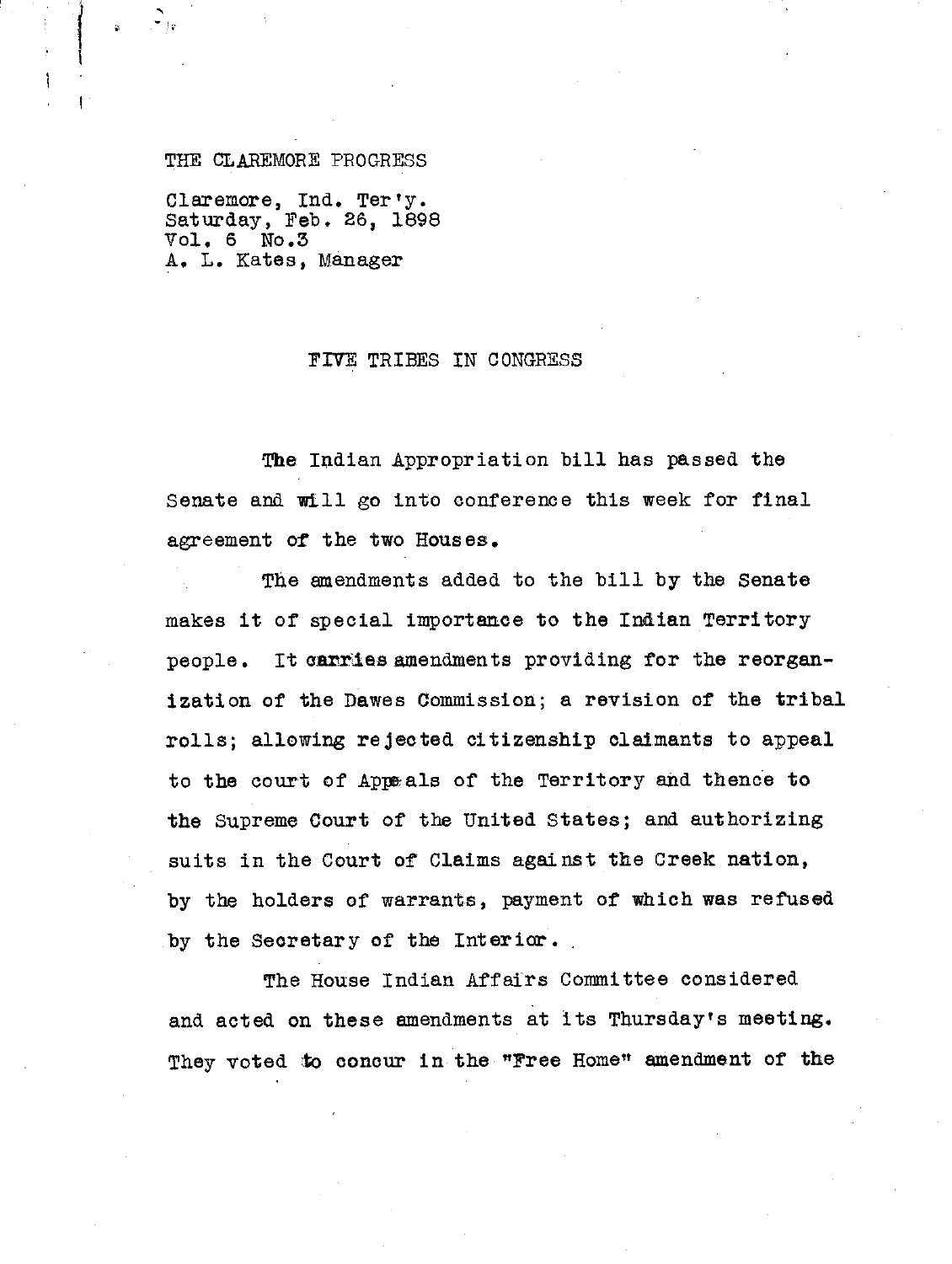## THE CLAREMORE PROGRESS

Claremore, Ind. Ter'y. Saturday, Feb. 26, 1898<br>Vol. 6 No.3  $Vol. 6$ A. L. Rates, Manager

## FIVE TRIBES IN CONGRESS

The Indian Appropriation bill has passed the Senate and will go into conference this week for final agreement of the two Houses.

The amendments added to the bill by the Senate makes it of special importance to the Indian Territory people. It carries amendments providing for the reorganization of the Dawes Commission; a revision of the tribal rolls; allowing rejected citizenship claimants to appeal to the court of Appa als of the Territory and thence to the Supreme Court of the United States; and authorizing suits in the Court of Claims against the Creek nation, by the holders of warrants, payment of which was refused by the Secretary of the Interior. ,

The House Indian Affairs Committee considered and acted on these amendments at its Thursday's meeting. They voted to concur in the "Free Home" amendment of the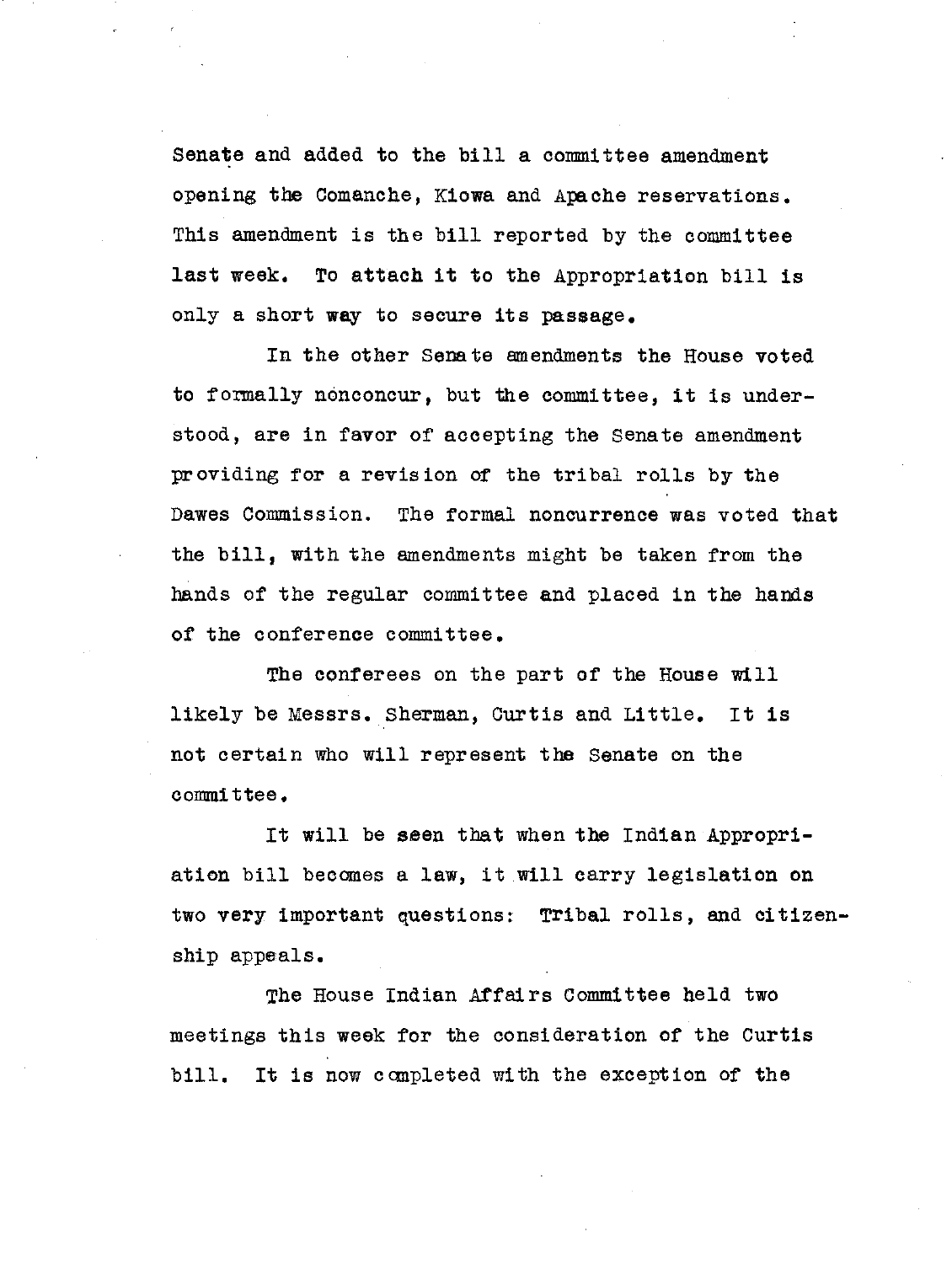Senate and added to the bill a committee amendment opening the Comanche, Kiowa and Apache reservations. This amendment is the bill reported by the committee last week. To attach it to the Appropriation bill is only a short way to secure its passage.

In the other Senate amendments the House voted to formally nonconcur, but the committee, it is understood, are in favor of accepting the Senate amendment providing for a revision of the tribal rolls by the Dawes Commission. The formal noncurrence was voted that the bill, with the amendments might be taken from the hands of the regular committee and placed in the hands of the conference committee.

The conferees on the part of the House will likely be Messrs. Sherman, Curtis and Little. It is not certain who will represent the Senate on the committee.

It will be seen that when the Indian Appropriation bill becomes a law, it will carry legislation on two very important questions: Tribal rolls, and citizenship appeals.

The House Indian Affairs Committee held two meetings this week for the consideration of the Curtis bill. It is now completed with the exception of the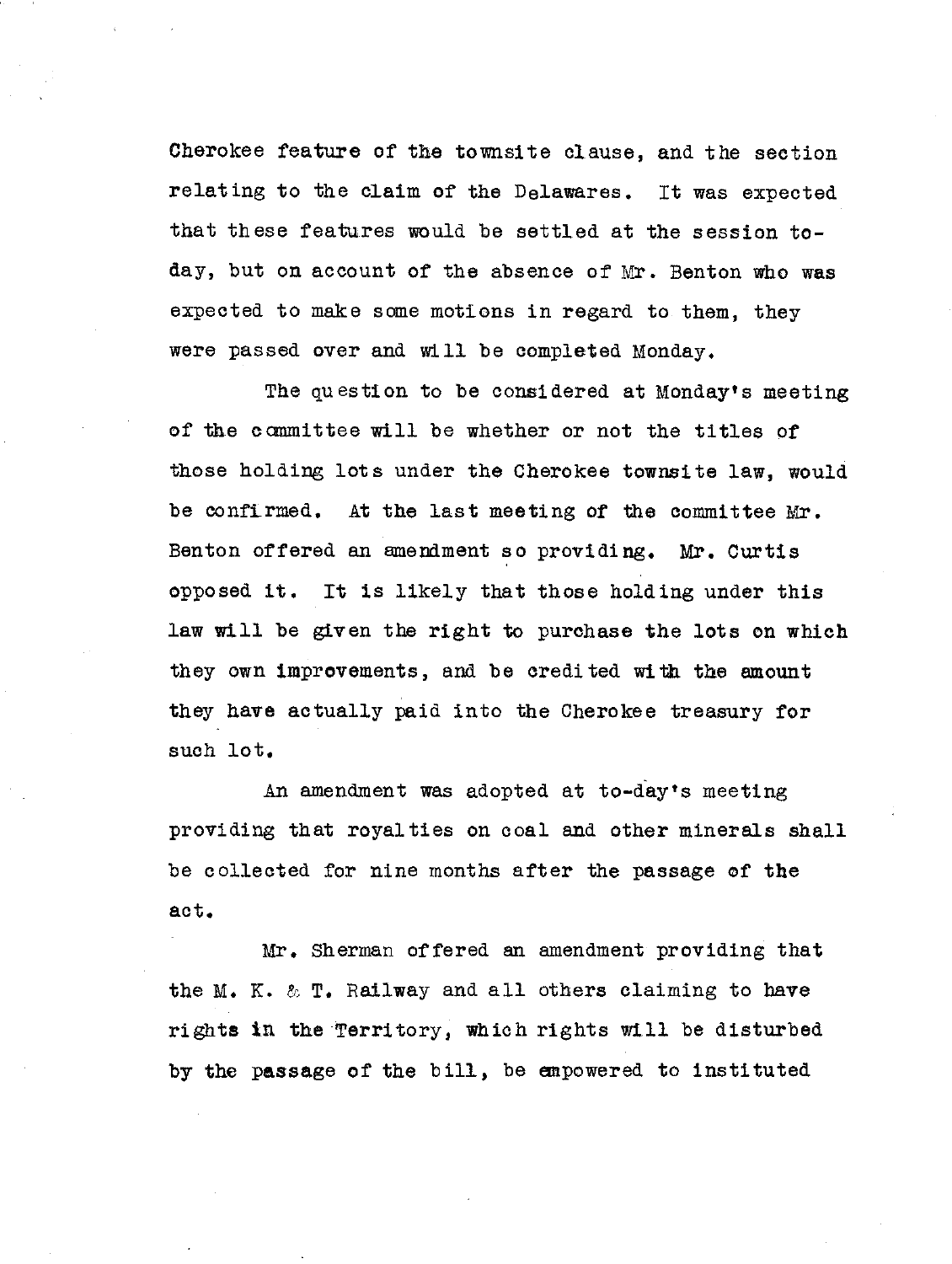Cherokee feature of the townsite clause, and the section relating to the claim of the Delawares. It was expected that these features would be settled at the session today, but on account of the absence of Mr. Benton who was expected to make some motions in regard to them, they were passed over and will be completed Monday.

The question to be considered at Monday's meeting of the committee will be whether or not the titles of those holding lots under the Cherokee townsite law, would be confirmed. At the last meeting of the committee Mr. Benton offered an amendment so providing. Mr. Curtis opposed it. It is likely that those holding under this law will be given the right to purchase the lots on which they own improvements, and be credited with the amount they have actually paid into the Cherokee treasury for such lot.

An amendment was adopted at to-day's meeting providing that royalties on coal and other minerals shall be collected for nine months after the passage of the act.

Mr. Sherman offered an amendment providing that the M. K. & T. Railway and all others claiming to have rights in the Territory, which rights will be disturbed by the passage of the bill, be empowered to instituted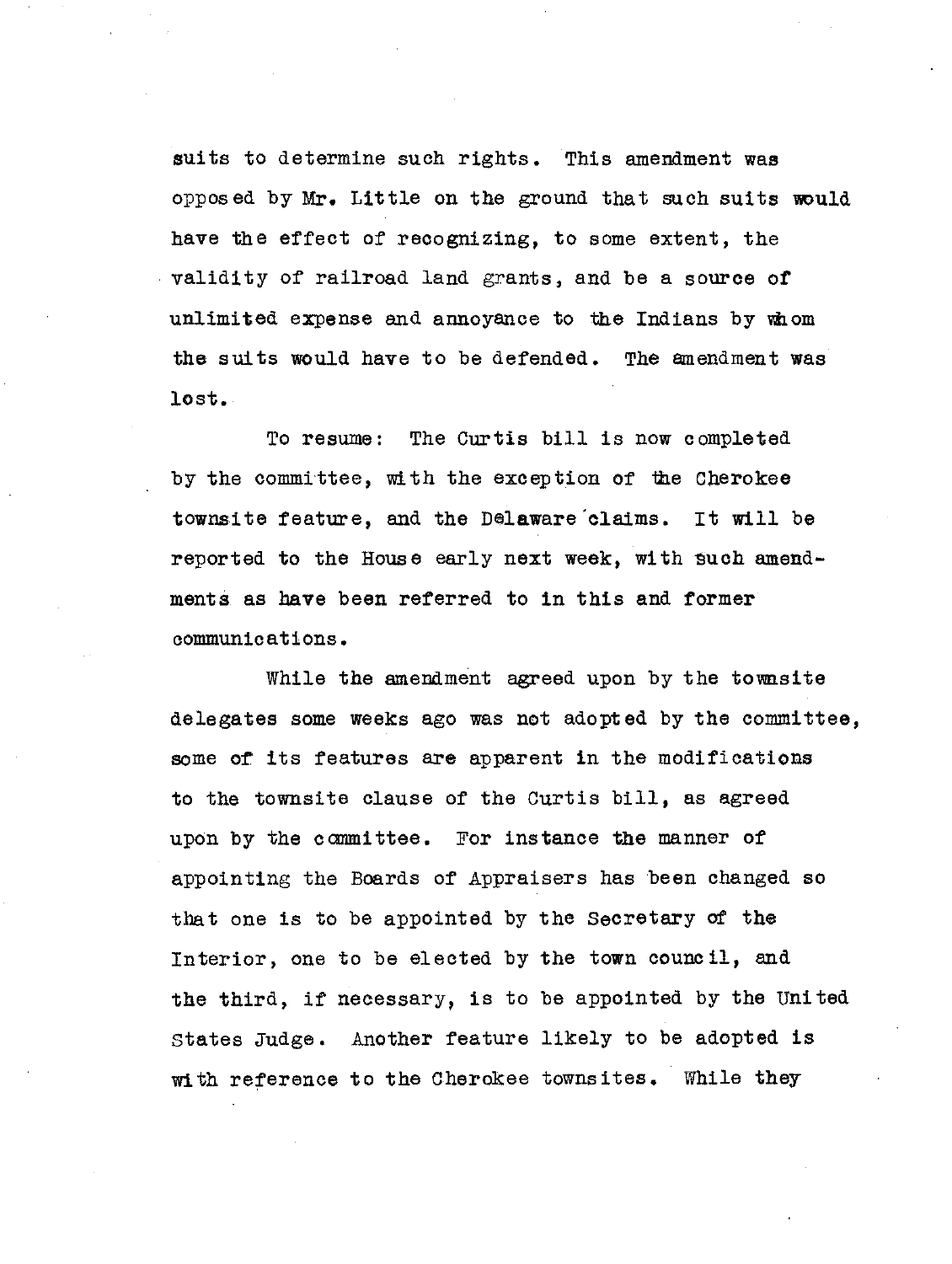suits to determine such rights. This amendment was opposed by Mr. Little on the ground that such suits would have the effect of recognizing, to some extent, the validity of railroad land grants, and be a source of unlimited expense and annoyance to the Indians by vihom the suits would have to be defended. The amendment was lost.

To resume: The Curtis bill is now completed by the committee, with the exception of the Cherokee townsite feature, and the Delaware'elaims. It will be reported to the House early next week, with such amendments as have been referred to in this and former communications.

While the amendment agreed upon by the townsite delegates some weeks ago was not adopted by the committee, some of its features are apparent in the modifications to the townsite clause of the Curtis bill, as agreed upon by the committee. For instance the manner of appointing the Boards of Appraisers has been changed so that one is to be appointed by the Secretary of the Interior, one to be elected by the town council, and the third, if necessary, is to be appointed by the United States Judge. Another feature likely to be adopted is with reference to the Cherokee townsites. While they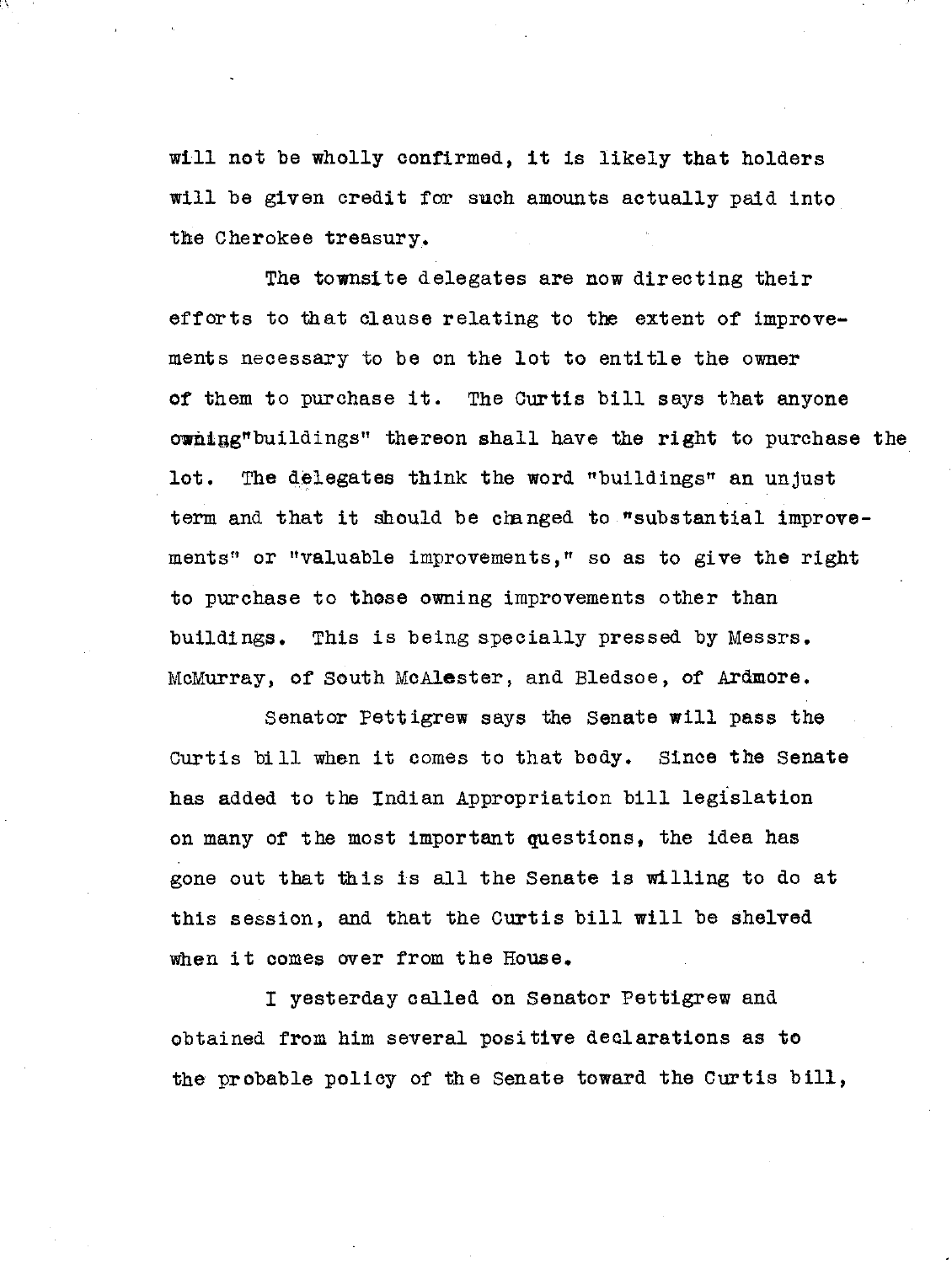will not be wholly confirmed, it is likely that holders will be given credit for such amounts actually paid into the Cherokee treasury.

The townsite delegates are now directing their efforts to that clause relating to the extent of improvements necessary to be on the lot to entitle the owner of them to purchase it. The Curtis bill says that anyone owning"buildings" thereon shall have the right to purchase the lot. The delegates think the word "buildings" an unjust term and that it should be changed to "substantial improvements" or "valuable improvements," so as to give the right to purchase to those owning improvements other than buildings. This is being specially pressed by Messrs. McMurray, of South McAlester, and Bledsoe, of Ardmore.

Senator Pettigrew says the Senate will pass the Curtis bill when it comes to that body. Since the Senate has added to the Indian Appropriation bill legislation on many of the most important questions, the idea has gone out that this is all the Senate is willing to do at this session, and that the Curtis bill will be shelved when it comes over from the House.

I yesterday called on Senator Pettigrew and obtained from him several positive declarations as to the probable policy of the Senate toward the Curtis bill,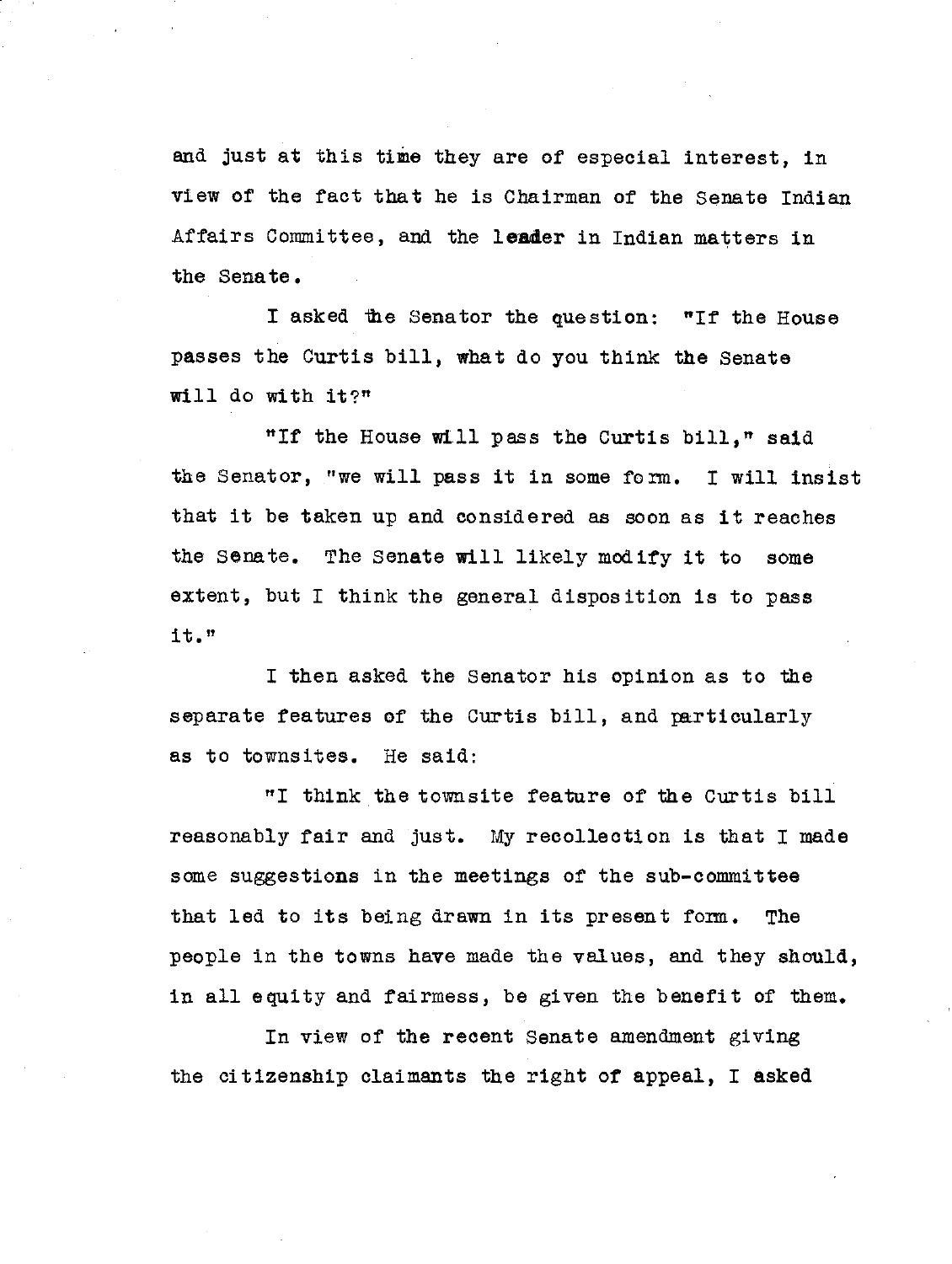and just at this time they are of especial interest, in view of the fact that he is Chairman of the Senate Indian Affairs Committee, and the **leader** in Indian matters in the Senate.

I asked the Senator the question: "If the House **passes** the Curtis bill, what do you think the Senate will do with **it?"**

"If the House will pass the Curtis bill," said the Senator, "we will pass it in some form. I will insist that it be taken up and considered as soon as it reaches the Senate. The Senate will likely modify it to some extent, but I think the general disposition is to pass it."

I then asked the Senator his opinion as to the separate features of the Curtis bill, and particularly as to townsites. He said:

"I think the townsite feature of the Curtis bill reasonably fair and just. *My* recollection is that I made some suggestions in the meetings of the sub-committee that led to its being drawn in its present form. The people in the towns have made the values, and they should, in all equity and fairmess, be given the benefit of them.

In view of the recent Senate amendment giving the citizenship claimants the right of appeal, I asked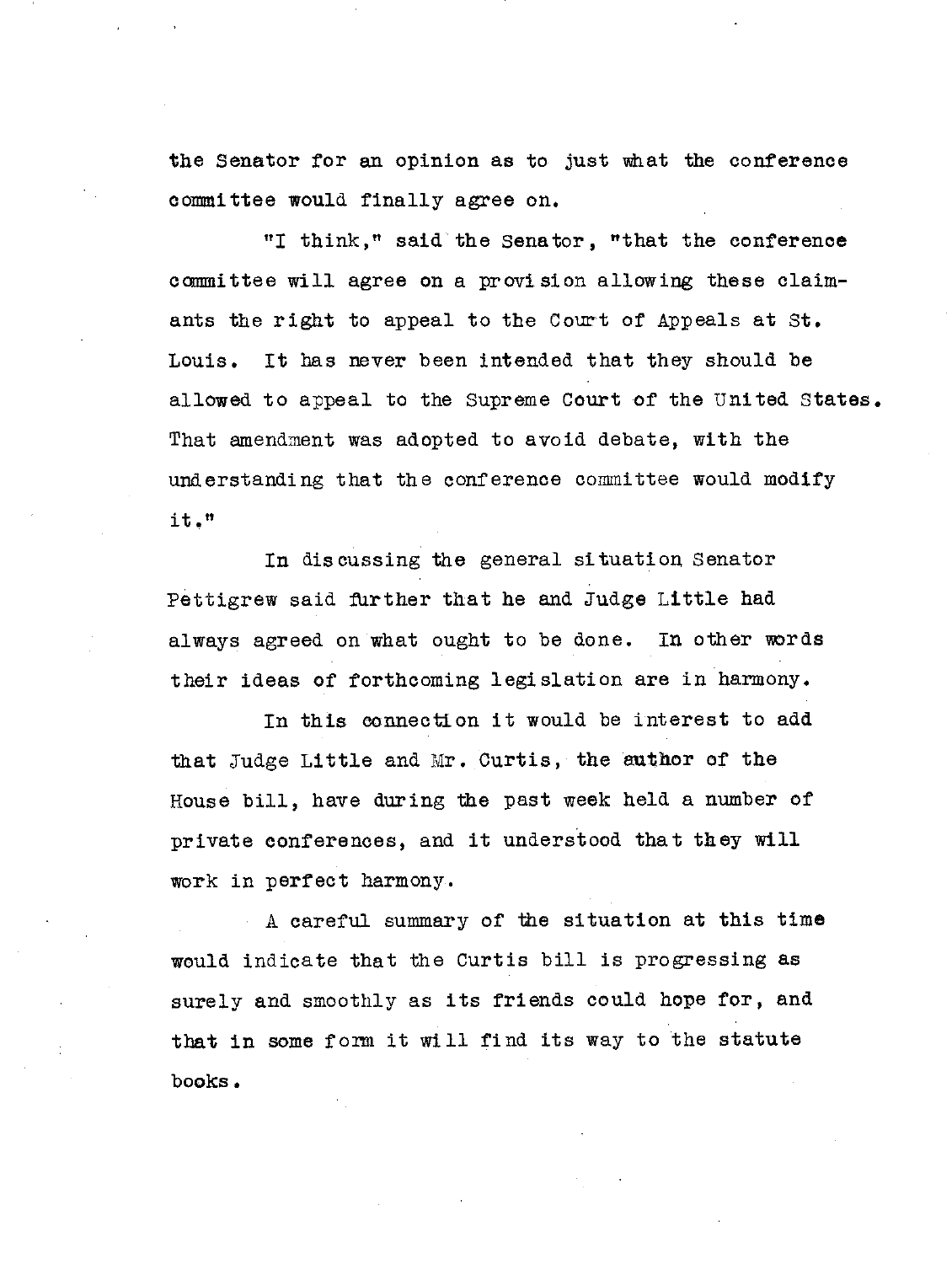the Senator for an opinion as to just what the conference committee would finally agree on.

"I think," said the Senator, "that the conference committee will agree on a provision allowing these claimants the right to appeal to the Court of Appeals at St. Louis. It has never been intended that they should be allowed to appeal to the Supreme Court of the United States. That amendment was adopted to avoid debate, with the understanding that the conference committee would modify it."

In discussing the general situation Senator Pettigrew said further that he and Judge Little had always agreed on what ought to be done. In other words their ideas of forthcoming legislation are in harmony.

In this connection it would be interest to add that Judge Little and Mr. Curtis, the author of the House bill, have during the past week held a number of private conferences, and it understood that they will work in perfect harmony.

A careful summary of the situation at this time would indicate that the Curtis bill is progressing as surely and smoothly as its friends could hope for, and that in some form it will find its way to the statute books.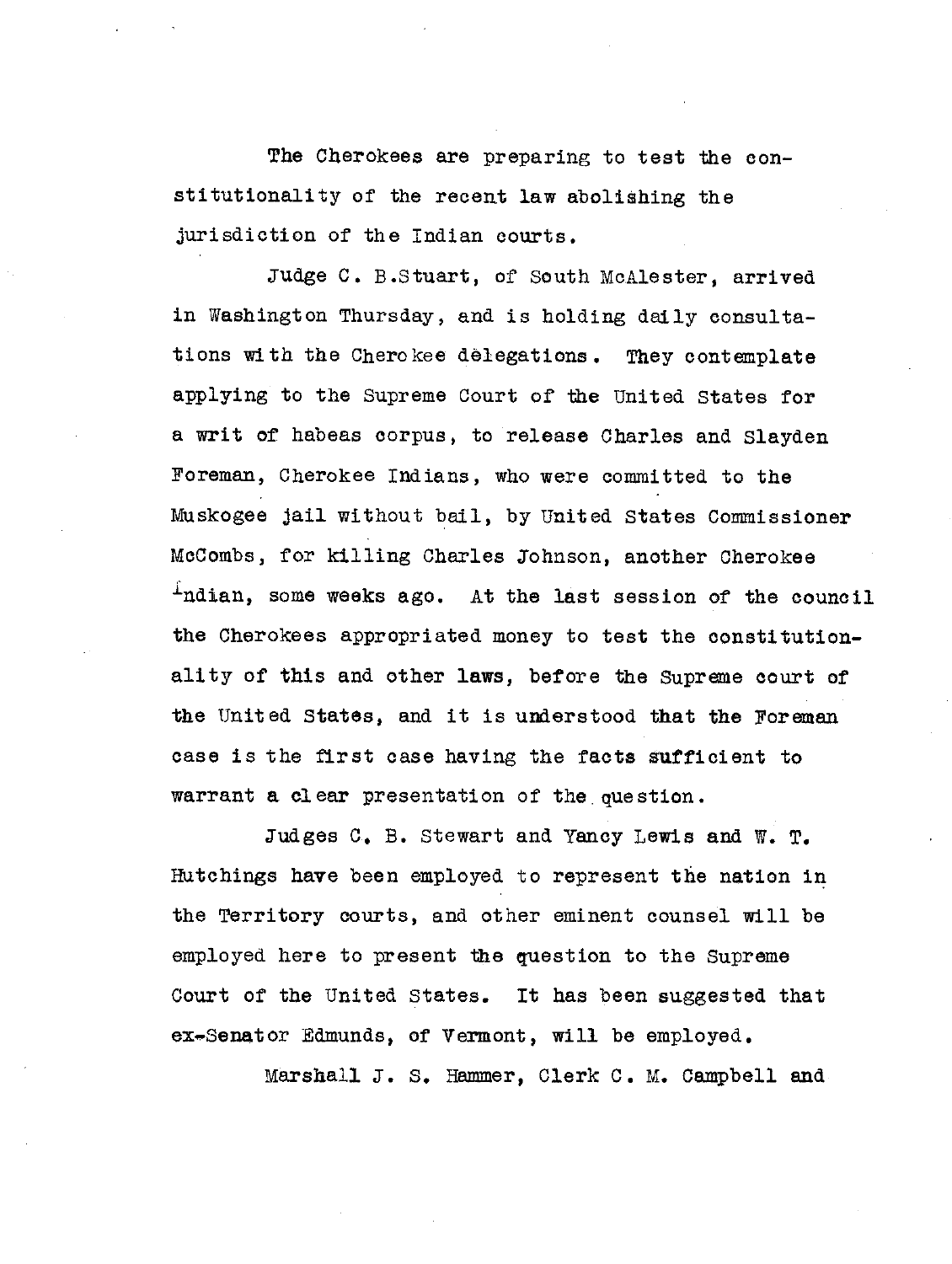The Cherokees are preparing to test the constitutionality of the recent law abolishing the jurisdiction of the Indian courts.

Judge C. B.Stuart, of South McAlester, arrived in Washington Thursday, and is holding daily consultations with the Cherokee delegations. They contemplate applying to the Supreme Court of the United States for a writ of habeas corpus, to release Charles and Slayden Foreman, Cherokee Indians, who were committed to the Muskogee jail without bail, by United States Commissioner McCombs, for killing Charles Johnson, another Cherokee Indian, some weeks ago. At the last session of the council the Cherokees appropriated money to test the constitutionality of this and other laws, before the Supreme court of the United States, and it is understood that the Foreman case is the first case having the facts sufficient to warrant a clear presentation of the question.

Judges C. B. Stewart and Yancy Lewis and W. T. Hutchings have been employed to represent the nation in the Territory courts, and other eminent counsel will be employed here to present the question to the Supreme Court of the United States. It has been suggested that ex-Senator Edmunds, of Vermont, will be employed.

Marshall J. S. Hammer, Clerk C. M. Campbell and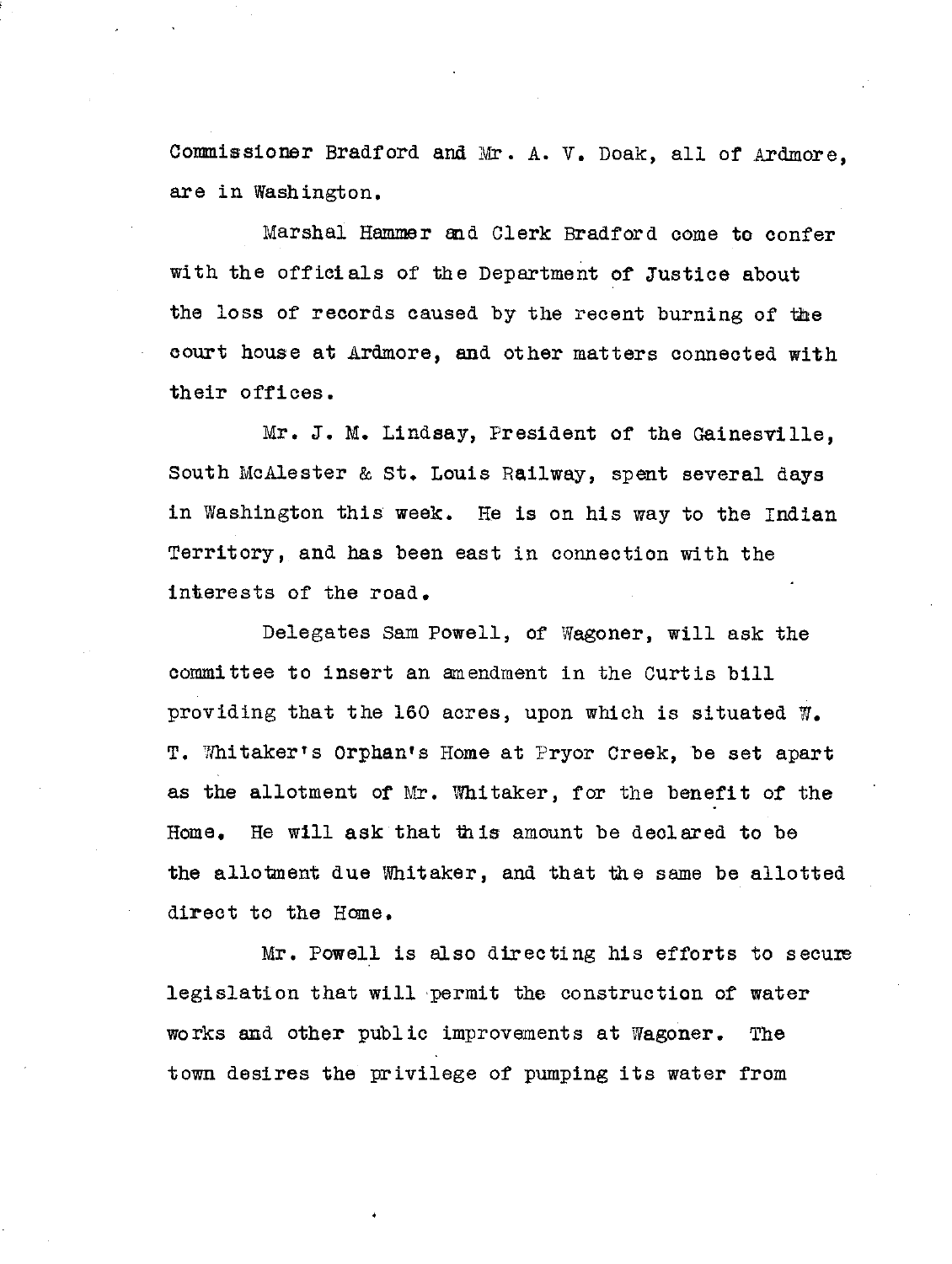Commissioner Bradford and Mr. A. V. Doak, all of Ardmore, are in Washington,

Marshal Hammer and Clerk Bradford come to confer with the officials of the Department of Justice about the loss of records caused by the recent burning of the court house at Ardmore, and other matters connected with their offices.

Mr. J. M. Lindsay, President of the Gainesville, South McAlester & St. Louis Railway, spent several days in Washington this week. He is on his way to the Indian Territory, and has been east in connection with the interests of the road.

Delegates Sam Powell, of Wagoner, will ask the committee to insert an amendment in the Curtis bill providing that the 160 acres, upon which is situated W. T. Whitaker's Orphan's Home at Pryor Creek, be set apart as the allotment of Mr. Whitaker, for the benefit of the Home. He will **ask** that this amount be declared to be the allotment due Whitaker, and that the same be allotted direct to the Home.

Mr. Powell is also directing his efforts to secure legislation that will permit the construction of water works and other public improvements at Wagoner. The town desires the privilege of pumping its water from

n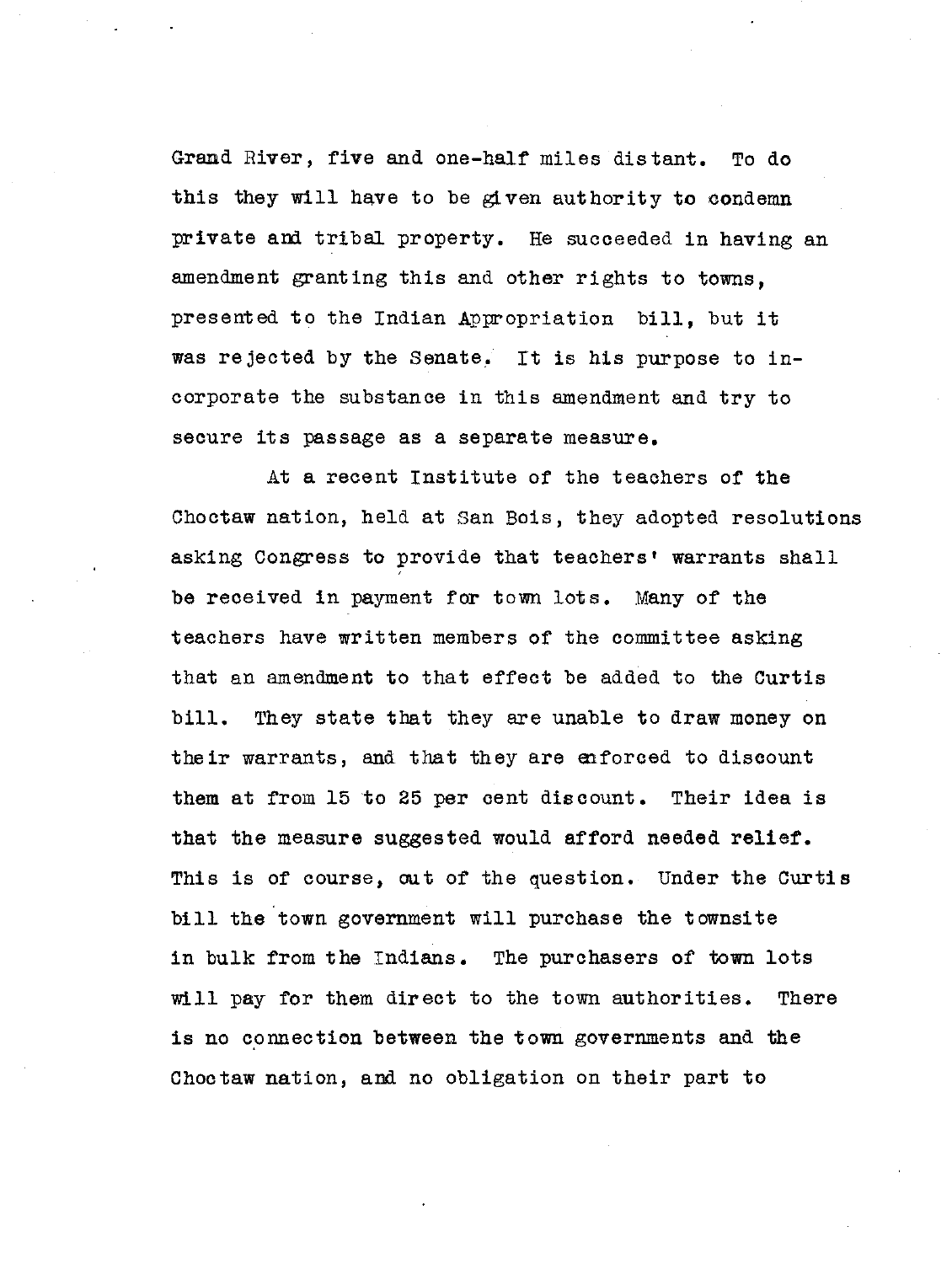Grand River, five and one-half miles distant. To do this they will have to be given authority to condemn private and tribal property. He succeeded in having an amendment granting this and other rights to towns, presented to the Indian Appropriation bill, but it was rejected by the Senate. It is his purpose to incorporate the substance in this amendment and try to secure its passage as a separate measure.

At a recent Institute of the teachers of the Choctaw nation, held at San Bois, they adopted resolutions asking Congress to provide that teachers' warrants shall be received in payment for town lots. Many of the teachers have written members of the committee asking that an amendment to that effect be added to the Curtis bill. They state that they are unable to draw money on their warrants, and that they are enforced to discount them at from 15 to 25 per cent discount. Their idea is that the measure suggested would afford needed relief. This is of course, out of the question. Under the Curtis bill the town government will purchase the townsite in bulk from the Indians. The purchasers of town lots will pay for them direct to the town authorities. There is no connection between the town governments and the Choctaw nation, and no obligation on their part to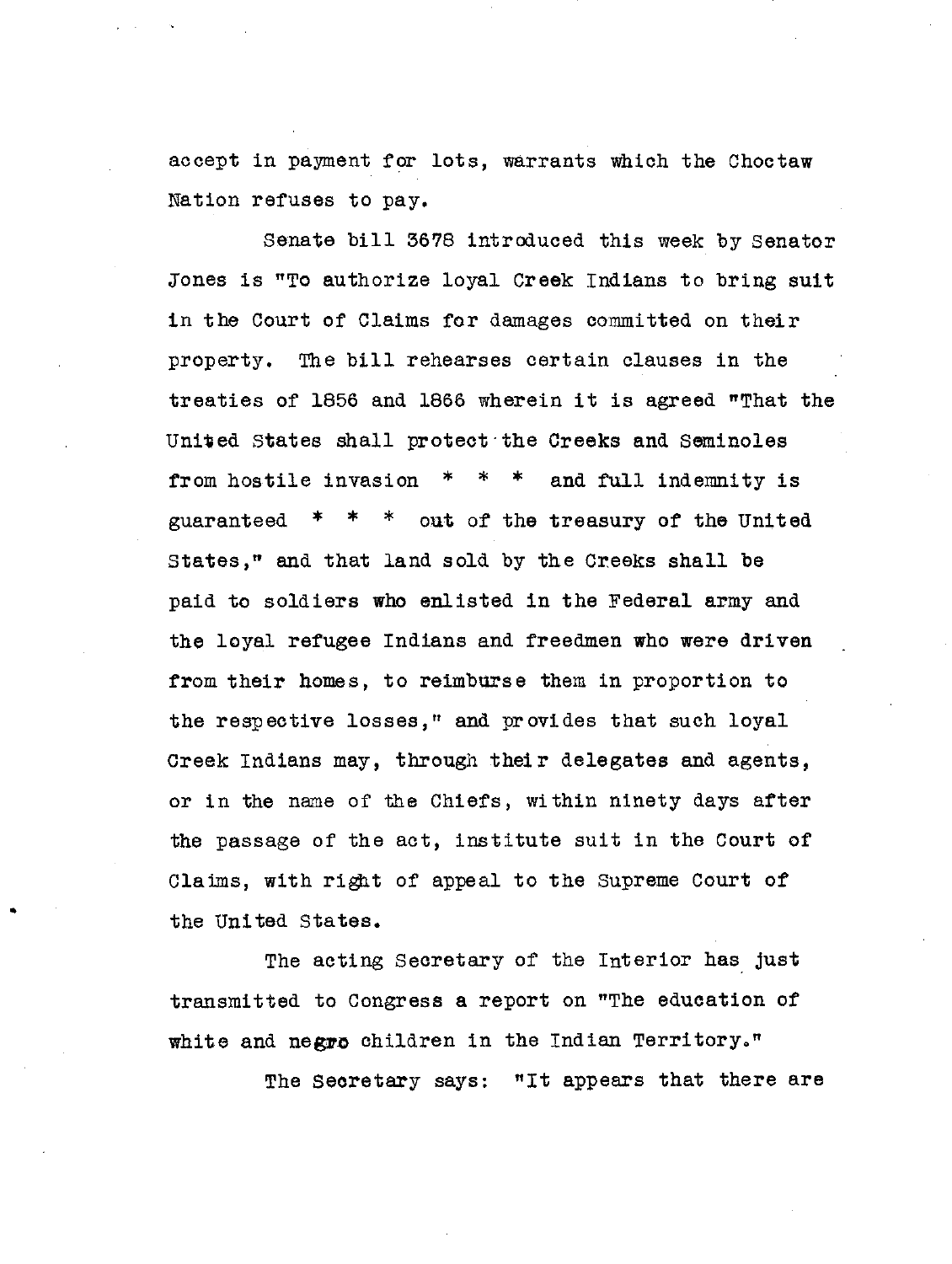accept in payment for lots, warrants which the Choctaw Nation refuses to pay.

Senate bill 3678 introduced this week by Senator Jones is "To authorize loyal Creek Indians to bring suit in the Court of Claims for damages committed on their property. The bill rehearses certain clauses in the treaties of 1856 and 1866 wherein it is agreed "That the United States shall protect-the Creeks and Seminoles from hostile invasion \* \* \* and full indemnity is guaranteed  $* * *$  out of the treasury of the United States," and that land sold by the Creeks shall be paid to soldiers who enlisted in the Federal army and the loyal refugee Indians and freedmen who were driven from their homes, to reimburse them in proportion to the respective losses," and provides that such loyal Creek Indians may, through their delegates and agents, or in the name of the Chiefs, within ninety days after the passage of the act, institute suit in the Court of Claims, with right of appeal to the Supreme Court of the United States.

The acting Secretary of the Interior has just transmitted to Congress a report on "The education of white and negro children in the Indian Territory."

The Secretary says: "It appears that there are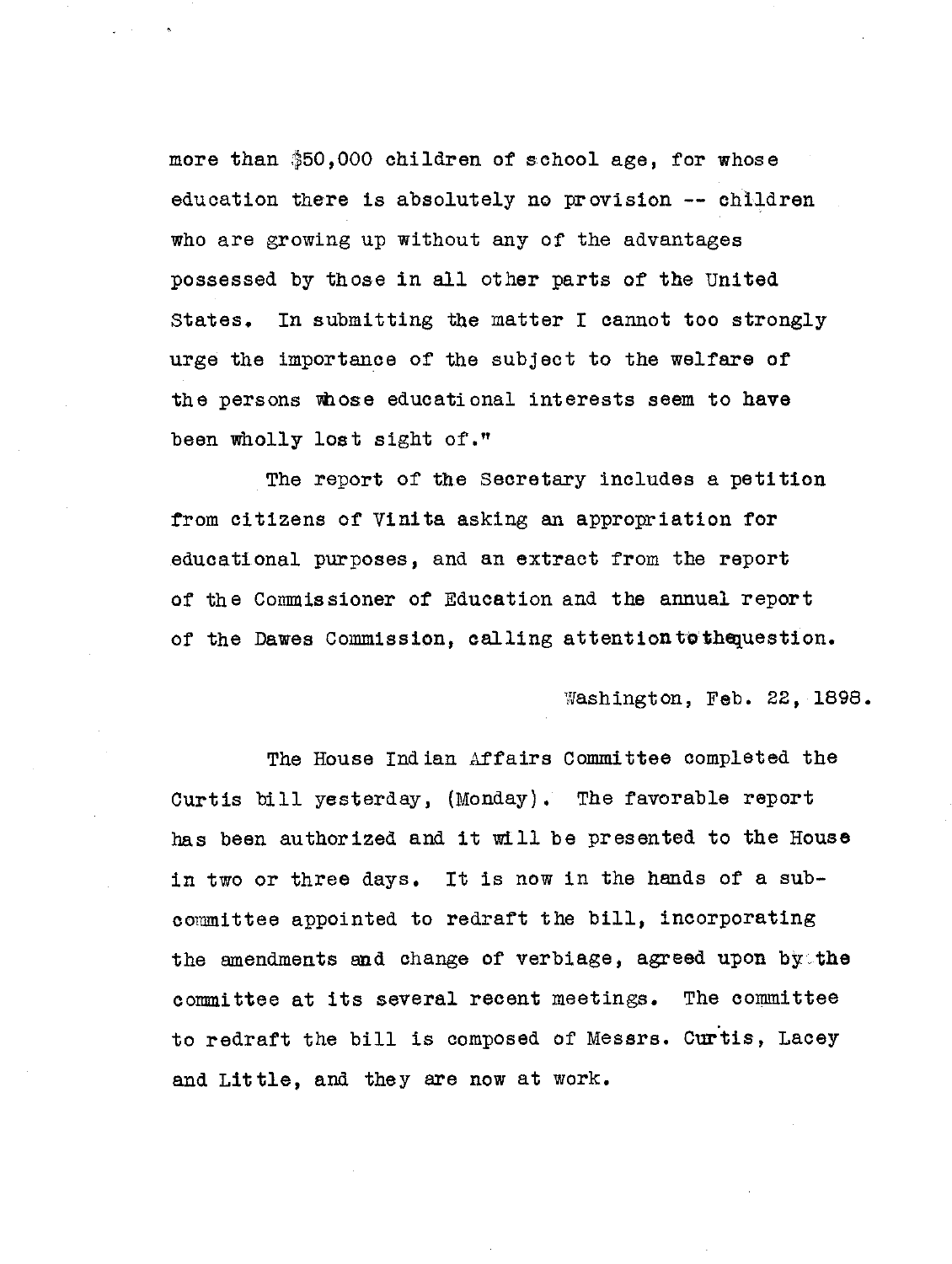more than \$50,000 children of school age, for whose education there is absolutely no provision -- children who are growing up without any of the advantages possessed by those in all other parts of the United States. In submitting the matter I cannot too strongly urge the importance of the subject to the welfare of the persons whose educational interests seem to have been wholly lost sight of."

The report of the Secretary includes a petition from citizens of Vinita asking an appropriation for educational purposes, and an extract from the report of the Commissioner of Education and the annual report of the Dawes Commission, calling attentiontothequestion.

Washington, Feb. 22, 1898.

The House Indian Affairs Committee completed the Curtis bill yesterday, (Monday). The favorable report has been authorized and it will be presented to the House in two or three days. It is now in the hands of a subcommittee appointed to redraft the bill, incorporating the amendments and change of verbiage, agreed upon by .the committee at its several recent meetings. The committee to redraft the bill is composed of Messrs. Curtis, Lacey and Little, and they are now at work.